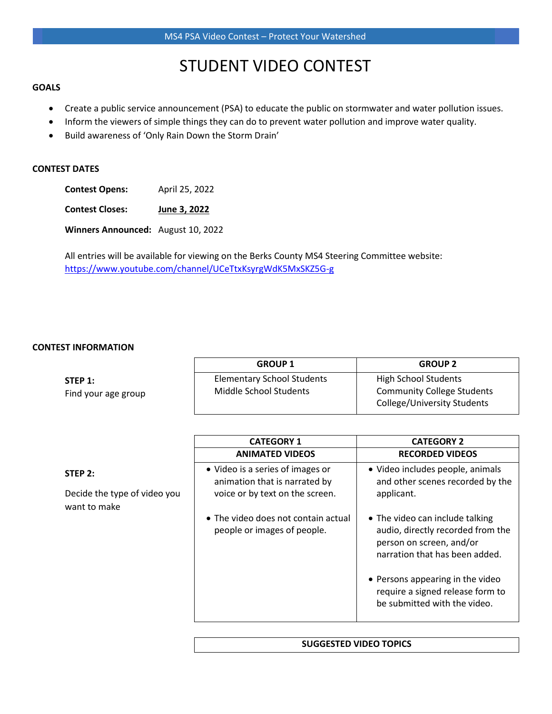## STUDENT VIDEO CONTEST

#### **GOALS**

- Create a public service announcement (PSA) to educate the public on stormwater and water pollution issues.
- Inform the viewers of simple things they can do to prevent water pollution and improve water quality.
- Build awareness of 'Only Rain Down the Storm Drain'

#### **CONTEST DATES**

**Contest Opens:** April 25, 2022

**Contest Closes: June 3, 2022**

**Winners Announced:** August 10, 2022

All entries will be available for viewing on the Berks County MS4 Steering Committee website: <https://www.youtube.com/channel/UCeTtxKsyrgWdK5MxSKZ5G-g>

#### **CONTEST INFORMATION**

|                                | <b>GROUP 1</b>                                              | <b>GROUP 2</b>                                                                           |
|--------------------------------|-------------------------------------------------------------|------------------------------------------------------------------------------------------|
| STEP 1:<br>Find your age group | <b>Elementary School Students</b><br>Middle School Students | High School Students<br><b>Community College Students</b><br>College/University Students |

|                                              | <b>CATEGORY 1</b>                                                  | <b>CATEGORY 2</b>                                                                                                                  |
|----------------------------------------------|--------------------------------------------------------------------|------------------------------------------------------------------------------------------------------------------------------------|
|                                              | <b>ANIMATED VIDEOS</b>                                             | <b>RECORDED VIDEOS</b>                                                                                                             |
| STEP 2:                                      | • Video is a series of images or<br>animation that is narrated by  | · Video includes people, animals<br>and other scenes recorded by the                                                               |
| Decide the type of video you<br>want to make | voice or by text on the screen.                                    | applicant.                                                                                                                         |
|                                              | • The video does not contain actual<br>people or images of people. | • The video can include talking<br>audio, directly recorded from the<br>person on screen, and/or<br>narration that has been added. |
|                                              |                                                                    | • Persons appearing in the video<br>require a signed release form to<br>be submitted with the video.                               |

#### **SUGGESTED VIDEO TOPICS**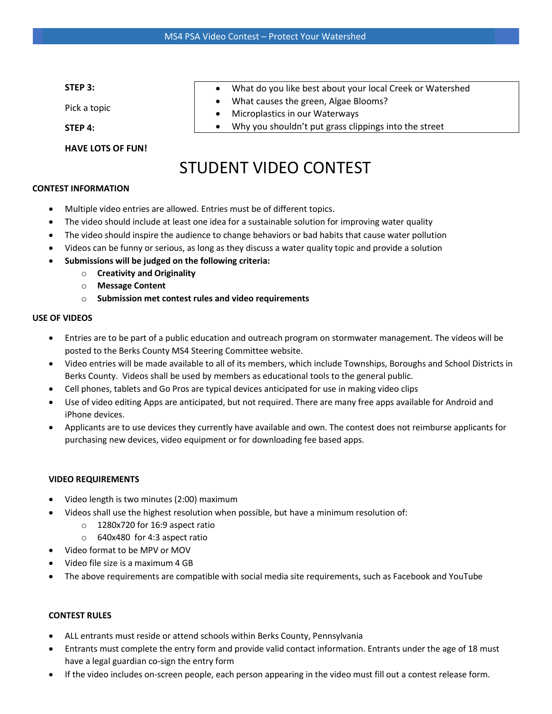#### **STEP 3:**

Pick a topic

**STEP 4:**

**HAVE LOTS OF FUN!**

- What do you like best about your local Creek or Watershed
- What causes the green, Algae Blooms?
- Microplastics in our Waterways
- Why you shouldn't put grass clippings into the street

# STUDENT VIDEO CONTEST

#### **CONTEST INFORMATION**

- Multiple video entries are allowed. Entries must be of different topics.
- The video should include at least one idea for a sustainable solution for improving water quality
- The video should inspire the audience to change behaviors or bad habits that cause water pollution
- Videos can be funny or serious, as long as they discuss a water quality topic and provide a solution
- **Submissions will be judged on the following criteria:**
	- o **Creativity and Originality**
	- o **Message Content**
	- o **Submission met contest rules and video requirements**

### **USE OF VIDEOS**

- Entries are to be part of a public education and outreach program on stormwater management. The videos will be posted to the Berks County MS4 Steering Committee website.
- Video entries will be made available to all of its members, which include Townships, Boroughs and School Districts in Berks County. Videos shall be used by members as educational tools to the general public.
- Cell phones, tablets and Go Pros are typical devices anticipated for use in making video clips
- Use of video editing Apps are anticipated, but not required. There are many free apps available for Android and iPhone devices.
- Applicants are to use devices they currently have available and own. The contest does not reimburse applicants for purchasing new devices, video equipment or for downloading fee based apps.

### **VIDEO REQUIREMENTS**

- Video length is two minutes (2:00) maximum
- Videos shall use the highest resolution when possible, but have a minimum resolution of:
	- o 1280x720 for 16:9 aspect ratio
	- o 640x480 for 4:3 aspect ratio
- Video format to be MPV or MOV
- Video file size is a maximum 4 GB
- The above requirements are compatible with social media site requirements, such as Facebook and YouTube

### **CONTEST RULES**

- ALL entrants must reside or attend schools within Berks County, Pennsylvania
- Entrants must complete the entry form and provide valid contact information. Entrants under the age of 18 must have a legal guardian co-sign the entry form
- If the video includes on-screen people, each person appearing in the video must fill out a contest release form.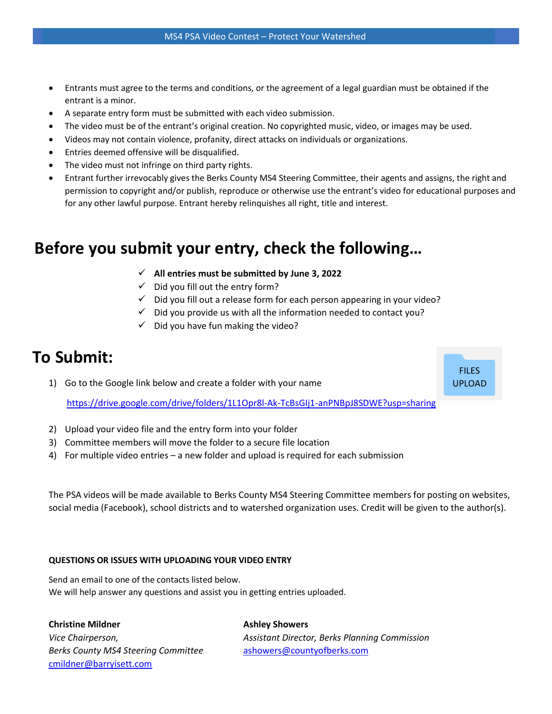- Entrants must agree to the terms and conditions, or the agreement of a legal guardian must be obtained if the entrant is a minor.
- A separate entry form must be submitted with each video submission.
- The video must be of the entrant's original creation. No copyrighted music, video, or images may be used.
- Videos may not contain violence, profanity, direct attacks on individuals or organizations.
- Entries deemed offensive will be disqualified.
- The video must not infringe on third party rights.
- Entrant further irrevocably gives the Berks County MS4 Steering Committee, their agents and assigns, the right and permission to copyright and/or publish, reproduce or otherwise use the entrant's video for educational purposes and for any other lawful purpose. Entrant hereby relinquishes all right, title and interest.

## **Before you submit your entry, check the following…**

- ✓ **All entries must be submitted by June 3, 2022**
- $\checkmark$  Did you fill out the entry form?
- $\checkmark$  Did you fill out a release form for each person appearing in your video?
- $\checkmark$  Did you provide us with all the information needed to contact you?
- $\checkmark$  Did you have fun making the video?

## **To Submit:**

1) Go to the Google link below and create a folder with your name

<https://drive.google.com/drive/folders/1L1Opr8l-Ak-TcBsGIj1-anPNBpJ8SDWE?usp=sharing>

- 2) Upload your video file and the entry form into your folder
- 3) Committee members will move the folder to a secure file location
- 4) For multiple video entries a new folder and upload is required for each submission

The PSA videos will be made available to Berks County MS4 Steering Committee members for posting on websites, social media (Facebook), school districts and to watershed organization uses. Credit will be given to the author(s).

### **QUESTIONS OR ISSUES WITH UPLOADING YOUR VIDEO ENTRY**

Send an email to one of the contacts listed below. We will help answer any questions and assist you in getting entries uploaded.

**Christine Mildner Ashley Showers** 

**Berks County MS4 Steering Committee** [ashowers@countyofberks.com](mailto:ashowers@countyofberks.com) [cmildner@barryisett.com](mailto:cmildner@barryisett.com)

*Vice Chairperson, Assistant Director, Berks Planning Commission*

FILES UPLOAD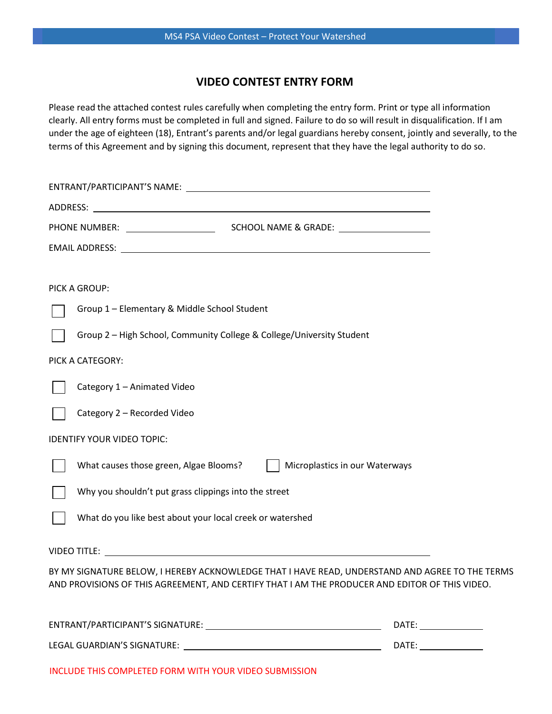## **VIDEO CONTEST ENTRY FORM**

Please read the attached contest rules carefully when completing the entry form. Print or type all information clearly. All entry forms must be completed in full and signed. Failure to do so will result in disqualification. If I am under the age of eighteen (18), Entrant's parents and/or legal guardians hereby consent, jointly and severally, to the terms of this Agreement and by signing this document, represent that they have the legal authority to do so.

| PHONE NUMBER: _____________________<br>SCHOOL NAME & GRADE: THE SCHOOL NAME & GRADE:                                                                                                                                          |  |  |  |
|-------------------------------------------------------------------------------------------------------------------------------------------------------------------------------------------------------------------------------|--|--|--|
| EMAIL ADDRESS: North and All Andrew Management and All Address: North All Andrew Management and All Andrew Management and All Andrew Management and All Andrew Management and All Andrew Management and All Andrew Management |  |  |  |
|                                                                                                                                                                                                                               |  |  |  |
| PICK A GROUP:                                                                                                                                                                                                                 |  |  |  |
| Group 1 - Elementary & Middle School Student                                                                                                                                                                                  |  |  |  |
| Group 2 - High School, Community College & College/University Student                                                                                                                                                         |  |  |  |
| PICK A CATEGORY:                                                                                                                                                                                                              |  |  |  |
| Category 1 - Animated Video                                                                                                                                                                                                   |  |  |  |
| Category 2 - Recorded Video                                                                                                                                                                                                   |  |  |  |
| <b>IDENTIFY YOUR VIDEO TOPIC:</b>                                                                                                                                                                                             |  |  |  |
| What causes those green, Algae Blooms?<br>Microplastics in our Waterways                                                                                                                                                      |  |  |  |
| Why you shouldn't put grass clippings into the street                                                                                                                                                                         |  |  |  |
| What do you like best about your local creek or watershed                                                                                                                                                                     |  |  |  |
|                                                                                                                                                                                                                               |  |  |  |
| BY MY SIGNATURE BELOW, I HEREBY ACKNOWLEDGE THAT I HAVE READ, UNDERSTAND AND AGREE TO THE TERMS<br>AND PROVISIONS OF THIS AGREEMENT, AND CERTIFY THAT I AM THE PRODUCER AND EDITOR OF THIS VIDEO.                             |  |  |  |
| DATE:                                                                                                                                                                                                                         |  |  |  |

LEGAL GUARDIAN'S SIGNATURE: DATE:

INCLUDE THIS COMPLETED FORM WITH YOUR VIDEO SUBMISSION